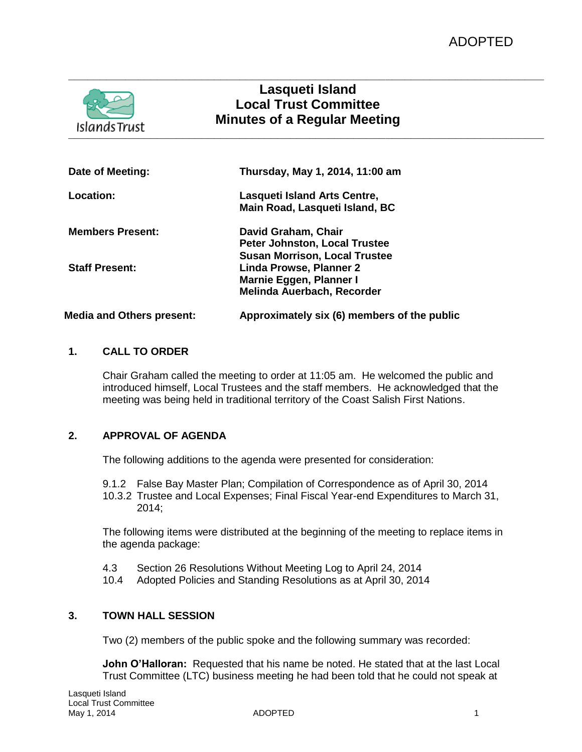# **Lasqueti Island Local Trust Committee Minutes of a Regular Meeting**

**\_\_\_\_\_\_\_\_\_\_\_\_\_\_\_\_\_\_\_\_\_\_\_\_\_\_\_\_\_\_\_\_\_\_\_\_\_\_\_\_\_\_\_\_\_\_\_\_\_\_\_\_\_\_\_\_\_\_\_\_\_\_\_\_\_\_\_\_\_\_\_\_\_\_\_**

**\_\_\_\_\_\_\_\_\_\_\_\_\_\_\_\_\_\_\_\_\_\_\_\_\_\_\_\_\_\_\_\_\_\_\_\_\_\_\_\_\_\_\_\_\_\_\_\_\_\_\_\_\_\_\_\_\_\_\_\_\_\_\_\_\_\_\_\_\_\_\_\_\_\_\_**

**Date of Meeting: Thursday, May 1, 2014, 11:00 am Location: Lasqueti Island Arts Centre, Main Road, Lasqueti Island, BC Members Present: David Graham, Chair Peter Johnston, Local Trustee Susan Morrison, Local Trustee Staff Present: Linda Prowse, Planner 2 Marnie Eggen, Planner I Melinda Auerbach, Recorder Media and Others present: Approximately six (6) members of the public**

# **1. CALL TO ORDER**

Chair Graham called the meeting to order at 11:05 am. He welcomed the public and introduced himself, Local Trustees and the staff members. He acknowledged that the meeting was being held in traditional territory of the Coast Salish First Nations.

# **2. APPROVAL OF AGENDA**

The following additions to the agenda were presented for consideration:

9.1.2 False Bay Master Plan; Compilation of Correspondence as of April 30, 2014 10.3.2 Trustee and Local Expenses; Final Fiscal Year-end Expenditures to March 31, 2014;

The following items were distributed at the beginning of the meeting to replace items in the agenda package:

- 4.3 Section 26 Resolutions Without Meeting Log to April 24, 2014
- 10.4 Adopted Policies and Standing Resolutions as at April 30, 2014

# **3. TOWN HALL SESSION**

Two (2) members of the public spoke and the following summary was recorded:

**John O'Halloran:** Requested that his name be noted. He stated that at the last Local Trust Committee (LTC) business meeting he had been told that he could not speak at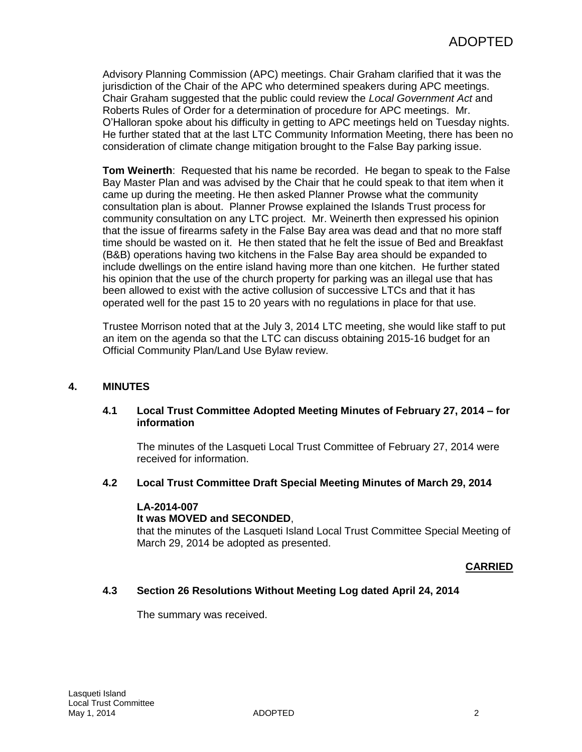Advisory Planning Commission (APC) meetings. Chair Graham clarified that it was the jurisdiction of the Chair of the APC who determined speakers during APC meetings. Chair Graham suggested that the public could review the *Local Government Act* and Roberts Rules of Order for a determination of procedure for APC meetings. Mr. O'Halloran spoke about his difficulty in getting to APC meetings held on Tuesday nights. He further stated that at the last LTC Community Information Meeting, there has been no consideration of climate change mitigation brought to the False Bay parking issue.

**Tom Weinerth**: Requested that his name be recorded. He began to speak to the False Bay Master Plan and was advised by the Chair that he could speak to that item when it came up during the meeting. He then asked Planner Prowse what the community consultation plan is about. Planner Prowse explained the Islands Trust process for community consultation on any LTC project. Mr. Weinerth then expressed his opinion that the issue of firearms safety in the False Bay area was dead and that no more staff time should be wasted on it. He then stated that he felt the issue of Bed and Breakfast (B&B) operations having two kitchens in the False Bay area should be expanded to include dwellings on the entire island having more than one kitchen. He further stated his opinion that the use of the church property for parking was an illegal use that has been allowed to exist with the active collusion of successive LTCs and that it has operated well for the past 15 to 20 years with no regulations in place for that use.

Trustee Morrison noted that at the July 3, 2014 LTC meeting, she would like staff to put an item on the agenda so that the LTC can discuss obtaining 2015-16 budget for an Official Community Plan/Land Use Bylaw review.

# **4. MINUTES**

# **4.1 Local Trust Committee Adopted Meeting Minutes of February 27, 2014 – for information**

The minutes of the Lasqueti Local Trust Committee of February 27, 2014 were received for information.

#### **4.2 Local Trust Committee Draft Special Meeting Minutes of March 29, 2014**

#### **LA-2014-007**

#### **It was MOVED and SECONDED**,

that the minutes of the Lasqueti Island Local Trust Committee Special Meeting of March 29, 2014 be adopted as presented.

#### **CARRIED**

# **4.3 Section 26 Resolutions Without Meeting Log dated April 24, 2014**

The summary was received.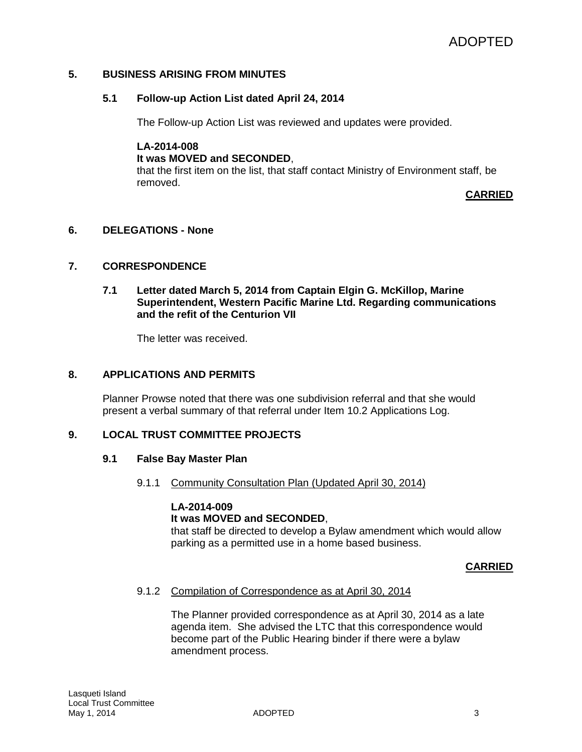## **5. BUSINESS ARISING FROM MINUTES**

#### **5.1 Follow-up Action List dated April 24, 2014**

The Follow-up Action List was reviewed and updates were provided.

**LA-2014-008 It was MOVED and SECONDED**, that the first item on the list, that staff contact Ministry of Environment staff, be removed.

**CARRIED**

### **6. DELEGATIONS - None**

#### **7. CORRESPONDENCE**

#### **7.1 Letter dated March 5, 2014 from Captain Elgin G. McKillop, Marine Superintendent, Western Pacific Marine Ltd. Regarding communications and the refit of the Centurion VII**

The letter was received.

#### **8. APPLICATIONS AND PERMITS**

Planner Prowse noted that there was one subdivision referral and that she would present a verbal summary of that referral under Item 10.2 Applications Log.

#### **9. LOCAL TRUST COMMITTEE PROJECTS**

#### **9.1 False Bay Master Plan**

9.1.1 Community Consultation Plan (Updated April 30, 2014)

## **LA-2014-009**

# **It was MOVED and SECONDED**,

that staff be directed to develop a Bylaw amendment which would allow parking as a permitted use in a home based business.

#### **CARRIED**

#### 9.1.2 Compilation of Correspondence as at April 30, 2014

The Planner provided correspondence as at April 30, 2014 as a late agenda item. She advised the LTC that this correspondence would become part of the Public Hearing binder if there were a bylaw amendment process.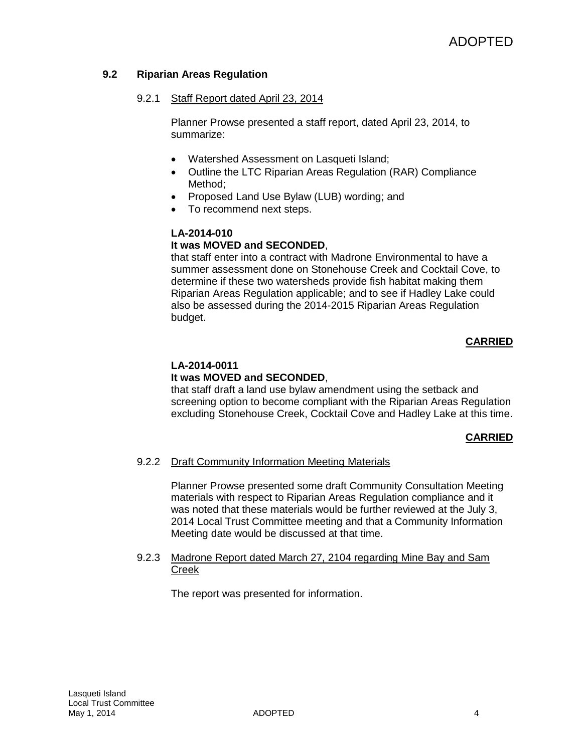# **9.2 Riparian Areas Regulation**

# 9.2.1 Staff Report dated April 23, 2014

Planner Prowse presented a staff report, dated April 23, 2014, to summarize:

- Watershed Assessment on Lasqueti Island;
- Outline the LTC Riparian Areas Regulation (RAR) Compliance Method;
- Proposed Land Use Bylaw (LUB) wording; and
- To recommend next steps.

# **LA-2014-010 It was MOVED and SECONDED**,

that staff enter into a contract with Madrone Environmental to have a summer assessment done on Stonehouse Creek and Cocktail Cove, to determine if these two watersheds provide fish habitat making them Riparian Areas Regulation applicable; and to see if Hadley Lake could also be assessed during the 2014-2015 Riparian Areas Regulation budget.

# **CARRIED**

# **LA-2014-0011**

# **It was MOVED and SECONDED**,

that staff draft a land use bylaw amendment using the setback and screening option to become compliant with the Riparian Areas Regulation excluding Stonehouse Creek, Cocktail Cove and Hadley Lake at this time.

# **CARRIED**

# 9.2.2 Draft Community Information Meeting Materials

Planner Prowse presented some draft Community Consultation Meeting materials with respect to Riparian Areas Regulation compliance and it was noted that these materials would be further reviewed at the July 3, 2014 Local Trust Committee meeting and that a Community Information Meeting date would be discussed at that time.

#### 9.2.3 Madrone Report dated March 27, 2104 regarding Mine Bay and Sam Creek

The report was presented for information.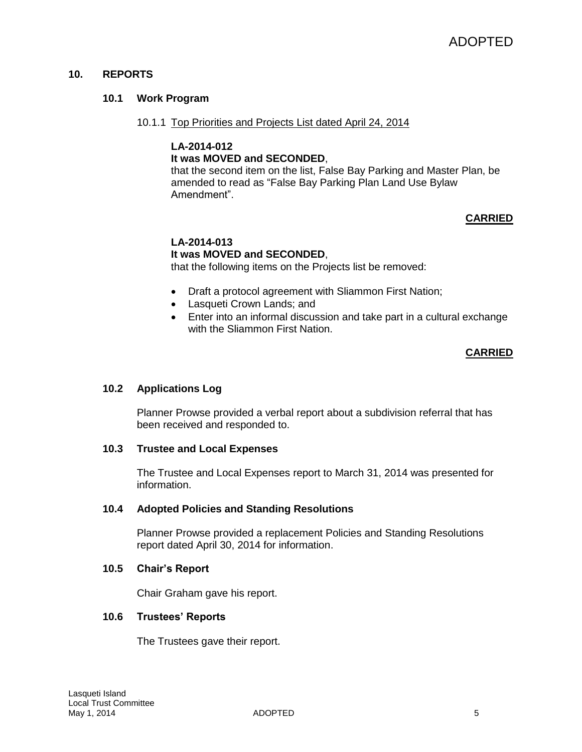# **10. REPORTS**

## **10.1 Work Program**

10.1.1 Top Priorities and Projects List dated April 24, 2014

#### **LA-2014-012 It was MOVED and SECONDED**,

that the second item on the list, False Bay Parking and Master Plan, be amended to read as "False Bay Parking Plan Land Use Bylaw Amendment".

# **CARRIED**

# **LA-2014-013 It was MOVED and SECONDED**,

that the following items on the Projects list be removed:

- Draft a protocol agreement with Sliammon First Nation;
- Lasqueti Crown Lands; and
- Enter into an informal discussion and take part in a cultural exchange with the Sliammon First Nation.

# **CARRIED**

# **10.2 Applications Log**

Planner Prowse provided a verbal report about a subdivision referral that has been received and responded to.

# **10.3 Trustee and Local Expenses**

The Trustee and Local Expenses report to March 31, 2014 was presented for information.

#### **10.4 Adopted Policies and Standing Resolutions**

Planner Prowse provided a replacement Policies and Standing Resolutions report dated April 30, 2014 for information.

#### **10.5 Chair's Report**

Chair Graham gave his report.

# **10.6 Trustees' Reports**

The Trustees gave their report.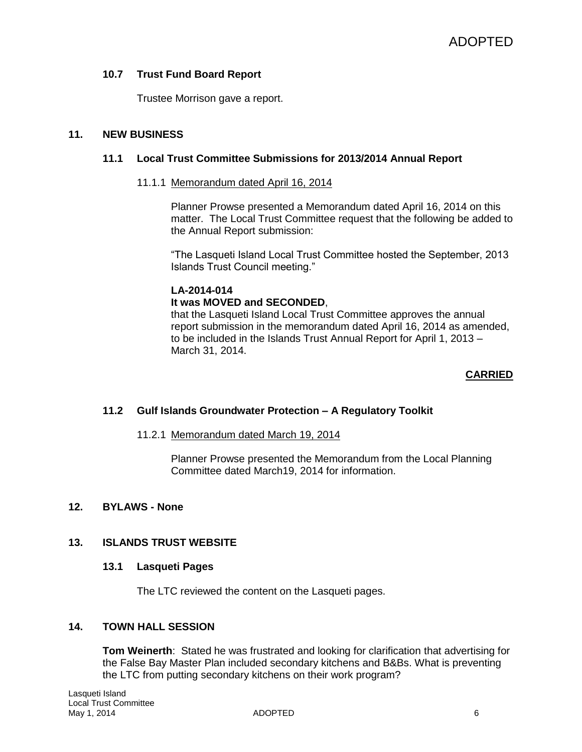# **10.7 Trust Fund Board Report**

Trustee Morrison gave a report.

#### **11. NEW BUSINESS**

#### **11.1 Local Trust Committee Submissions for 2013/2014 Annual Report**

#### 11.1.1 Memorandum dated April 16, 2014

Planner Prowse presented a Memorandum dated April 16, 2014 on this matter. The Local Trust Committee request that the following be added to the Annual Report submission:

"The Lasqueti Island Local Trust Committee hosted the September, 2013 Islands Trust Council meeting."

# **LA-2014-014**

# **It was MOVED and SECONDED**,

that the Lasqueti Island Local Trust Committee approves the annual report submission in the memorandum dated April 16, 2014 as amended, to be included in the Islands Trust Annual Report for April 1, 2013 – March 31, 2014.

# **CARRIED**

# **11.2 Gulf Islands Groundwater Protection – A Regulatory Toolkit**

#### 11.2.1 Memorandum dated March 19, 2014

Planner Prowse presented the Memorandum from the Local Planning Committee dated March19, 2014 for information.

# **12. BYLAWS - None**

# **13. ISLANDS TRUST WEBSITE**

#### **13.1 Lasqueti Pages**

The LTC reviewed the content on the Lasqueti pages.

#### **14. TOWN HALL SESSION**

**Tom Weinerth**: Stated he was frustrated and looking for clarification that advertising for the False Bay Master Plan included secondary kitchens and B&Bs. What is preventing the LTC from putting secondary kitchens on their work program?